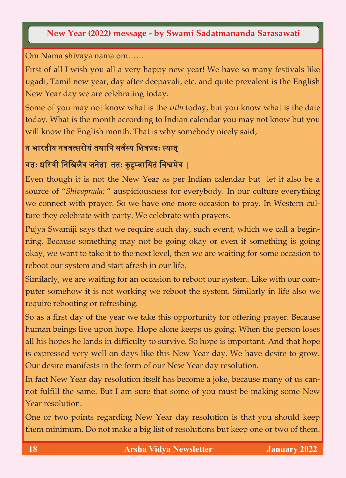## **New Year (2022) message - by Swami Sadatmananda Sarasawati**

Om Nama shivaya nama om……

First of all I wish you all a very happy new year! We have so many festivals like ugadi, Tamil new year, day after deepavali, etc. and quite prevalent is the English New Year day we are celebrating today.

Some of you may not know what is the *tithi* today, but you know what is the date today. What is the month according to Indian calendar you may not know but you will know the English month. That is why somebody nicely said,

## न भारतीय नववत्सरोयंतथापि सववस्य पिवप्रद**:** स्यात्**|**

## यत**:** धररत्री पनपिलैव जनेतातत**:** कु टुम्बापयतंपवश्वमेव **||**

Even though it is not the New Year as per Indian calendar but let it also be a source of "*Shivaprada:* " auspiciousness for everybody. In our culture everything we connect with prayer. So we have one more occasion to pray. In Western culture they celebrate with party. We celebrate with prayers.

Pujya Swamiji says that we require such day, such event, which we call a beginning. Because something may not be going okay or even if something is going okay, we want to take it to the next level, then we are waiting for some occasion to reboot our system and start afresh in our life.

Similarly, we are waiting for an occasion to reboot our system. Like with our computer somehow it is not working we reboot the system. Similarly in life also we require rebooting or refreshing.

So as a first day of the year we take this opportunity for offering prayer. Because human beings live upon hope. Hope alone keeps us going. When the person loses all his hopes he lands in difficulty to survive. So hope is important. And that hope is expressed very well on days like this New Year day. We have desire to grow. Our desire manifests in the form of our New Year day resolution.

In fact New Year day resolution itself has become a joke, because many of us cannot fulfill the same. But I am sure that some of you must be making some New Year resolution.

One or two points regarding New Year day resolution is that you should keep them minimum. Do not make a big list of resolutions but keep one or two of them.